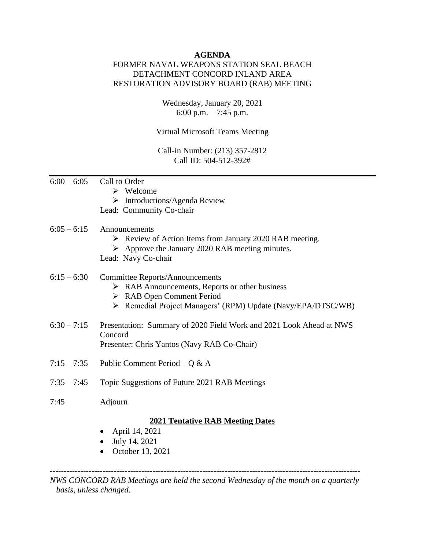## **AGENDA**

# FORMER NAVAL WEAPONS STATION SEAL BEACH DETACHMENT CONCORD INLAND AREA RESTORATION ADVISORY BOARD (RAB) MEETING

Wednesday, January 20, 2021 6:00 p.m.  $-7:45$  p.m.

Virtual Microsoft Teams Meeting

Call-in Number: (213) 357-2812 Call ID: 504-512-392#

- $6:00 6:05$  Call to Order
	- ➢ Welcome
	- ➢ Introductions/Agenda Review
	- Lead: Community Co-chair

### $6:05 - 6:15$  Announcements

- ➢ Review of Action Items from January 2020 RAB meeting.
- ➢ Approve the January 2020 RAB meeting minutes.
- Lead: Navy Co-chair

## 6:15 – 6:30 Committee Reports/Announcements

- ➢ RAB Announcements, Reports or other business
- ➢ RAB Open Comment Period
- ➢ Remedial Project Managers' (RPM) Update (Navy/EPA/DTSC/WB)
- 6:30 7:15 Presentation: Summary of 2020 Field Work and 2021 Look Ahead at NWS Concord Presenter: Chris Yantos (Navy RAB Co-Chair)
- 7:15 7:35 Public Comment Period Q & A
- 7:35 7:45 Topic Suggestions of Future 2021 RAB Meetings
- 7:45 Adjourn

### **2021 Tentative RAB Meeting Dates**

- April 14, 2021
- July 14, 2021
- October 13, 2021

---------------------------------------------------------------------------------------------------------------- *NWS CONCORD RAB Meetings are held the second Wednesday of the month on a quarterly basis, unless changed.*